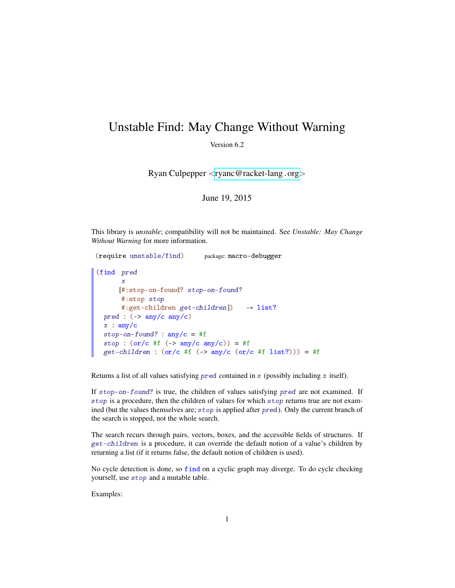## Unstable Find: May Change Without Warning

Version 6.2

Ryan Culpepper <[ryanc@racket-lang](mailto:ryanc@racket-lang.org).org>

June 19, 2015

This library is *unstable*; compatibility will not be maintained. See *Unstable: May Change Without Warning* for more information.

```
(require unstable/find) package: macro-debugger
(find pred
       x
      [#:stop-on-found? stop-on-found?
       #:stop stop
      #:get-children get-children]) \rightarrow list?
  pred : (\rightarrow any/c any/c)
  x : any/cstop-on-found? : any/c = #fstop : (\text{or}/\text{c} \# \text{f} (-\text{or}/\text{c} \# \text{or}/\text{c})) = #fget-children : (or/c #f (-) any/c (or/c #f list?))) = #f
```
Returns a list of all values satisfying pred contained in x (possibly including x itself).

If stop-on-found? is true, the children of values satisfying pred are not examined. If stop is a procedure, then the children of values for which stop returns true are not examined (but the values themselves are; stop is applied after pred). Only the current branch of the search is stopped, not the whole search.

The search recurs through pairs, vectors, boxes, and the accessible fields of structures. If get-children is a procedure, it can override the default notion of a value's children by returning a list (if it returns false, the default notion of children is used).

No cycle detection is done, so find on a cyclic graph may diverge. To do cycle checking yourself, use stop and a mutable table.

Examples: